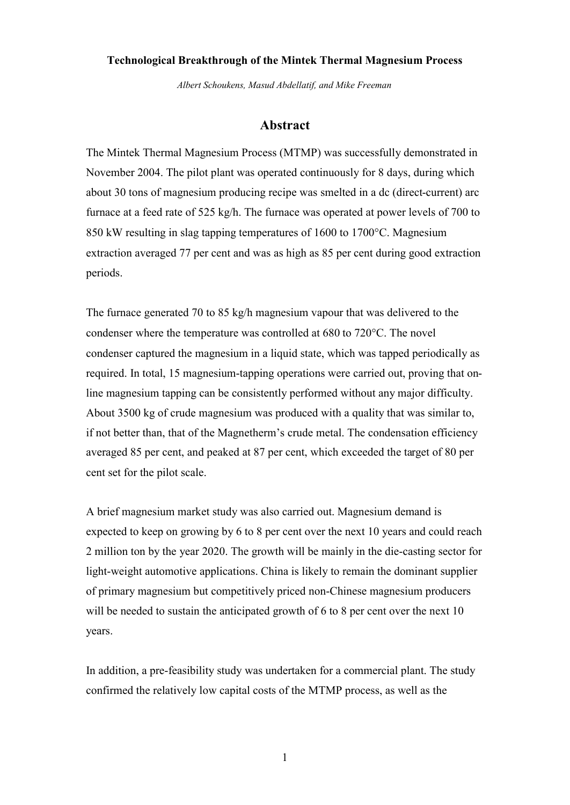### **Technological Breakthrough of the Mintek Thermal Magnesium Process**

*Albert Schoukens, Masud Abdellatif, and Mike Freeman*

### **Abstract**

The Mintek Thermal Magnesium Process (MTMP) was successfully demonstrated in November 2004. The pilot plant was operated continuously for 8 days, during which about 30 tons of magnesium producing recipe was smelted in a dc (direct-current) arc furnace at a feed rate of 525 kg/h. The furnace was operated at power levels of 700 to 850 kW resulting in slag tapping temperatures of 1600 to 1700°C. Magnesium extraction averaged 77 per cent and was as high as 85 per cent during good extraction periods.

The furnace generated 70 to 85 kg/h magnesium vapour that was delivered to the condenser where the temperature was controlled at 680 to 720°C. The novel condenser captured the magnesium in a liquid state, which was tapped periodically as required. In total, 15 magnesium-tapping operations were carried out, proving that online magnesium tapping can be consistently performed without any major difficulty. About 3500 kg of crude magnesium was produced with a quality that was similar to, if not better than, that of the Magnetherm's crude metal. The condensation efficiency averaged 85 per cent, and peaked at 87 per cent, which exceeded the target of 80 per cent set for the pilot scale.

A brief magnesium market study was also carried out. Magnesium demand is expected to keep on growing by 6 to 8 per cent over the next 10 years and could reach 2 million ton by the year 2020. The growth will be mainly in the die-casting sector for light-weight automotive applications. China is likely to remain the dominant supplier of primary magnesium but competitively priced non-Chinese magnesium producers will be needed to sustain the anticipated growth of 6 to 8 per cent over the next 10 years.

In addition, a pre-feasibility study was undertaken for a commercial plant. The study confirmed the relatively low capital costs of the MTMP process, as well as the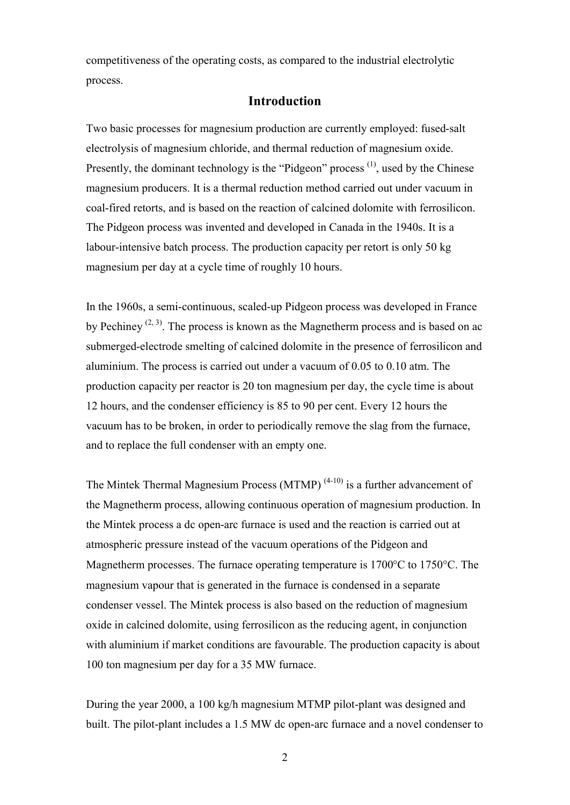competitiveness of the operating costs, as compared to the industrial electrolytic process.

# **Introduction**

Two basic processes for magnesium production are currently employed: fused-salt electrolysis of magnesium chloride, and thermal reduction of magnesium oxide. Presently, the dominant technology is the "Pidgeon" process  $(1)$ , used by the Chinese magnesium producers. It is a thermal reduction method carried out under vacuum in coal-fired retorts, and is based on the reaction of calcined dolomite with ferrosilicon. The Pidgeon process was invented and developed in Canada in the 1940s. It is a labour-intensive batch process. The production capacity per retort is only 50 kg magnesium per day at a cycle time of roughly 10 hours.

In the 1960s, a semi-continuous, scaled-up Pidgeon process was developed in France by Pechiney<sup>(2, 3)</sup>. The process is known as the Magnetherm process and is based on ac submerged-electrode smelting of calcined dolomite in the presence of ferrosilicon and aluminium. The process is carried out under a vacuum of 0.05 to 0.10 atm. The production capacity per reactor is 20 ton magnesium per day, the cycle time is about 12 hours, and the condenser efficiency is 85 to 90 per cent. Every 12 hours the vacuum has to be broken, in order to periodically remove the slag from the furnace, and to replace the full condenser with an empty one.

The Mintek Thermal Magnesium Process (MTMP)<sup> $(4-10)$ </sup> is a further advancement of the Magnetherm process, allowing continuous operation of magnesium production. In the Mintek process a dc open-arc furnace is used and the reaction is carried out at atmospheric pressure instead of the vacuum operations of the Pidgeon and Magnetherm processes. The furnace operating temperature is 1700°C to 1750°C. The magnesium vapour that is generated in the furnace is condensed in a separate condenser vessel. The Mintek process is also based on the reduction of magnesium oxide in calcined dolomite, using ferrosilicon as the reducing agent, in conjunction with aluminium if market conditions are favourable. The production capacity is about 100 ton magnesium per day for a 35 MW furnace.

During the year 2000, a 100 kg/h magnesium MTMP pilot-plant was designed and built. The pilot-plant includes a 1.5 MW dc open-arc furnace and a novel condenser to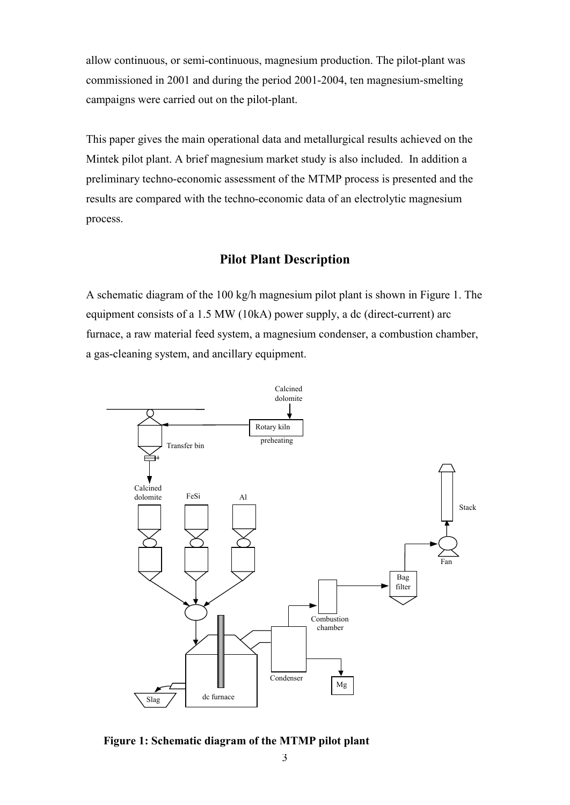allow continuous, or semi-continuous, magnesium production. The pilot-plant was commissioned in 2001 and during the period 2001-2004, ten magnesium-smelting campaigns were carried out on the pilot-plant.

This paper gives the main operational data and metallurgical results achieved on the Mintek pilot plant. A brief magnesium market study is also included. In addition a preliminary techno-economic assessment of the MTMP process is presented and the results are compared with the techno-economic data of an electrolytic magnesium process.

## **Pilot Plant Description**

A schematic diagram of the 100 kg/h magnesium pilot plant is shown in Figure 1. The equipment consists of a 1.5 MW (10kA) power supply, a dc (direct-current) arc furnace, a raw material feed system, a magnesium condenser, a combustion chamber, a gas-cleaning system, and ancillary equipment.



**Figure 1: Schematic diagram of the MTMP pilot plant**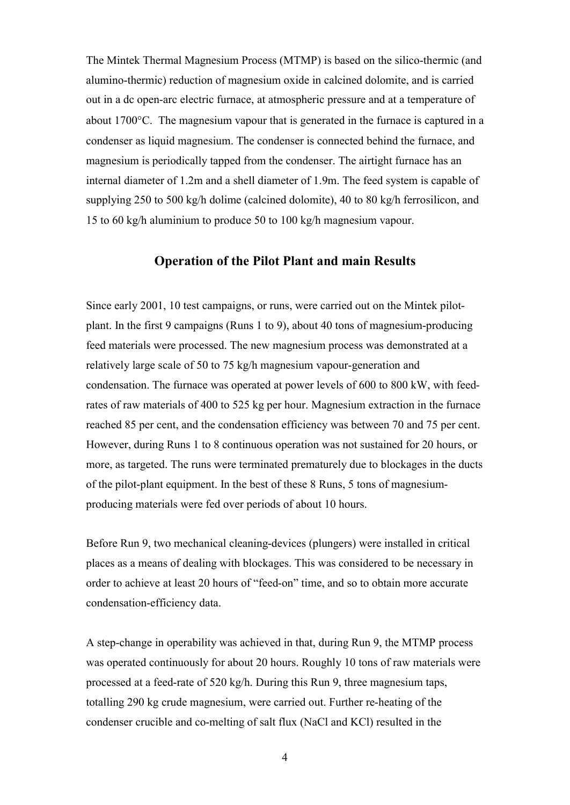The Mintek Thermal Magnesium Process (MTMP) is based on the silico-thermic (and alumino-thermic) reduction of magnesium oxide in calcined dolomite, and is carried out in a dc open-arc electric furnace, at atmospheric pressure and at a temperature of about 1700°C. The magnesium vapour that is generated in the furnace is captured in a condenser as liquid magnesium. The condenser is connected behind the furnace, and magnesium is periodically tapped from the condenser. The airtight furnace has an internal diameter of 1.2m and a shell diameter of 1.9m. The feed system is capable of supplying 250 to 500 kg/h dolime (calcined dolomite), 40 to 80 kg/h ferrosilicon, and 15 to 60 kg/h aluminium to produce 50 to 100 kg/h magnesium vapour.

### **Operation of the Pilot Plant and main Results**

Since early 2001, 10 test campaigns, or runs, were carried out on the Mintek pilotplant. In the first 9 campaigns (Runs 1 to 9), about 40 tons of magnesium-producing feed materials were processed. The new magnesium process was demonstrated at a relatively large scale of 50 to 75 kg/h magnesium vapour-generation and condensation. The furnace was operated at power levels of 600 to 800 kW, with feedrates of raw materials of 400 to 525 kg per hour. Magnesium extraction in the furnace reached 85 per cent, and the condensation efficiency was between 70 and 75 per cent. However, during Runs 1 to 8 continuous operation was not sustained for 20 hours, or more, as targeted. The runs were terminated prematurely due to blockages in the ducts of the pilot-plant equipment. In the best of these 8 Runs, 5 tons of magnesiumproducing materials were fed over periods of about 10 hours.

Before Run 9, two mechanical cleaning-devices (plungers) were installed in critical places as a means of dealing with blockages. This was considered to be necessary in order to achieve at least 20 hours of "feed-on" time, and so to obtain more accurate condensation-efficiency data.

A step-change in operability was achieved in that, during Run 9, the MTMP process was operated continuously for about 20 hours. Roughly 10 tons of raw materials were processed at a feed-rate of 520 kg/h. During this Run 9, three magnesium taps, totalling 290 kg crude magnesium, were carried out. Further re-heating of the condenser crucible and co-melting of salt flux (NaCl and KCl) resulted in the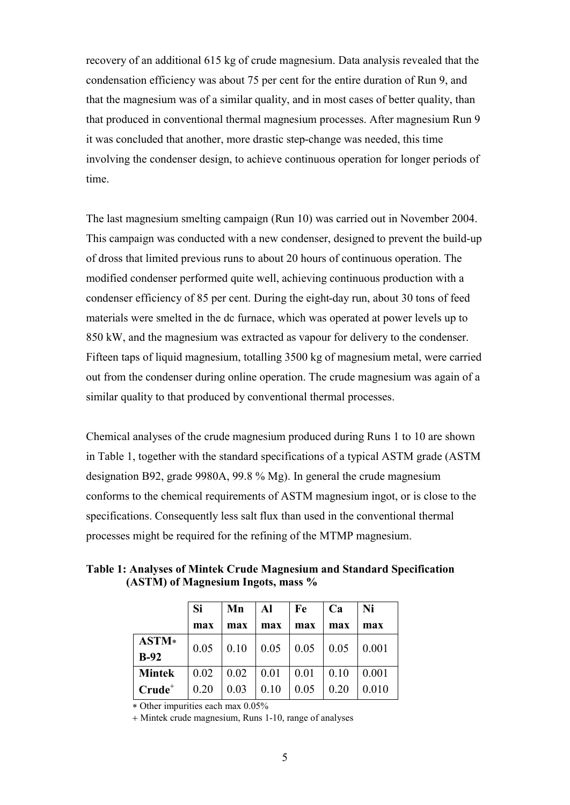recovery of an additional 615 kg of crude magnesium. Data analysis revealed that the condensation efficiency was about 75 per cent for the entire duration of Run 9, and that the magnesium was of a similar quality, and in most cases of better quality, than that produced in conventional thermal magnesium processes. After magnesium Run 9 it was concluded that another, more drastic step-change was needed, this time involving the condenser design, to achieve continuous operation for longer periods of time.

The last magnesium smelting campaign (Run 10) was carried out in November 2004. This campaign was conducted with a new condenser, designed to prevent the build-up of dross that limited previous runs to about 20 hours of continuous operation. The modified condenser performed quite well, achieving continuous production with a condenser efficiency of 85 per cent. During the eight-day run, about 30 tons of feed materials were smelted in the dc furnace, which was operated at power levels up to 850 kW, and the magnesium was extracted as vapour for delivery to the condenser. Fifteen taps of liquid magnesium, totalling 3500 kg of magnesium metal, were carried out from the condenser during online operation. The crude magnesium was again of a similar quality to that produced by conventional thermal processes.

Chemical analyses of the crude magnesium produced during Runs 1 to 10 are shown in Table 1, together with the standard specifications of a typical ASTM grade (ASTM designation B92, grade 9980A, 99.8 % Mg). In general the crude magnesium conforms to the chemical requirements of ASTM magnesium ingot, or is close to the specifications. Consequently less salt flux than used in the conventional thermal processes might be required for the refining of the MTMP magnesium.

**Table 1: Analyses of Mintek Crude Magnesium and Standard Specification (ASTM) of Magnesium Ingots, mass %**

|                 | <b>Si</b> | Mn   | Al   | Fe   | Ca   | Ni    |
|-----------------|-----------|------|------|------|------|-------|
|                 | max       | max  | max  | max  | max  | max   |
| ASTM*<br>$B-92$ | 0.05      | 0.10 | 0.05 | 0.05 | 0.05 | 0.001 |
| <b>Mintek</b>   | 0.02      | 0.02 | 0.01 | 0.01 | 0.10 | 0.001 |
| $Crude+$        | 0.20      | 0.03 | 0.10 | 0.05 | 0.20 | 0.010 |

\* Other impurities each max 0.05%

+ Mintek crude magnesium, Runs 1-10, range of analyses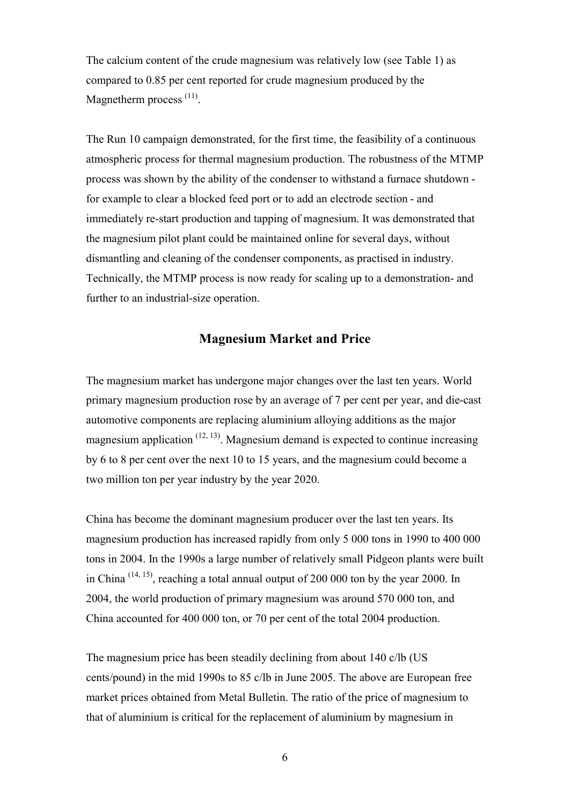The calcium content of the crude magnesium was relatively low (see Table 1) as compared to 0.85 per cent reported for crude magnesium produced by the Magnetherm process<sup>(11)</sup>.

The Run 10 campaign demonstrated, for the first time, the feasibility of a continuous atmospheric process for thermal magnesium production. The robustness of the MTMP process was shown by the ability of the condenser to withstand a furnace shutdown for example to clear a blocked feed port or to add an electrode section - and immediately re-start production and tapping of magnesium. It was demonstrated that the magnesium pilot plant could be maintained online for several days, without dismantling and cleaning of the condenser components, as practised in industry. Technically, the MTMP process is now ready for scaling up to a demonstration- and further to an industrial-size operation.

### **Magnesium Market and Price**

The magnesium market has undergone major changes over the last ten years. World primary magnesium production rose by an average of 7 per cent per year, and die-cast automotive components are replacing aluminium alloying additions as the major magnesium application  $(12, 13)$ . Magnesium demand is expected to continue increasing by 6 to 8 per cent over the next 10 to 15 years, and the magnesium could become a two million ton per year industry by the year 2020.

China has become the dominant magnesium producer over the last ten years. Its magnesium production has increased rapidly from only 5 000 tons in 1990 to 400 000 tons in 2004. In the 1990s a large number of relatively small Pidgeon plants were built in China (14, 15), reaching a total annual output of 200 000 ton by the year 2000. In 2004, the world production of primary magnesium was around 570 000 ton, and China accounted for 400 000 ton, or 70 per cent of the total 2004 production.

The magnesium price has been steadily declining from about 140 c/lb (US cents/pound) in the mid 1990s to 85 c/lb in June 2005. The above are European free market prices obtained from Metal Bulletin. The ratio of the price of magnesium to that of aluminium is critical for the replacement of aluminium by magnesium in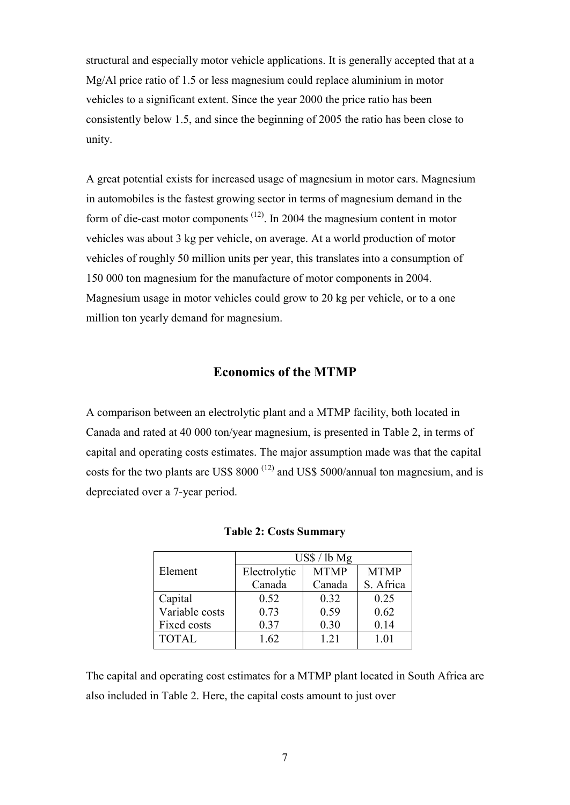structural and especially motor vehicle applications. It is generally accepted that at a Mg/Al price ratio of 1.5 or less magnesium could replace aluminium in motor vehicles to a significant extent. Since the year 2000 the price ratio has been consistently below 1.5, and since the beginning of 2005 the ratio has been close to unity.

A great potential exists for increased usage of magnesium in motor cars. Magnesium in automobiles is the fastest growing sector in terms of magnesium demand in the form of die-cast motor components  $(12)$ . In 2004 the magnesium content in motor vehicles was about 3 kg per vehicle, on average. At a world production of motor vehicles of roughly 50 million units per year, this translates into a consumption of 150 000 ton magnesium for the manufacture of motor components in 2004. Magnesium usage in motor vehicles could grow to 20 kg per vehicle, or to a one million ton yearly demand for magnesium.

# **Economics of the MTMP**

A comparison between an electrolytic plant and a MTMP facility, both located in Canada and rated at 40 000 ton/year magnesium, is presented in Table 2, in terms of capital and operating costs estimates. The major assumption made was that the capital costs for the two plants are US\$  $8000$ <sup>(12)</sup> and US\$ 5000/annual ton magnesium, and is depreciated over a 7-year period.

|                | $\text{USS}$ / lb Mg |             |             |  |  |
|----------------|----------------------|-------------|-------------|--|--|
| Element        | Electrolytic         | <b>MTMP</b> | <b>MTMP</b> |  |  |
|                | Canada               | Canada      | S. Africa   |  |  |
| Capital        | 0.52                 | 0.32        | 0.25        |  |  |
| Variable costs | 0.73                 | 0.59        | 0.62        |  |  |
| Fixed costs    | 0.37                 | 0.30        | 0.14        |  |  |
| <b>TOTAL</b>   | 1.62                 | 1 2 1       | 1.01        |  |  |

|  |  | <b>Table 2: Costs Summary</b> |
|--|--|-------------------------------|
|--|--|-------------------------------|

The capital and operating cost estimates for a MTMP plant located in South Africa are also included in Table 2. Here, the capital costs amount to just over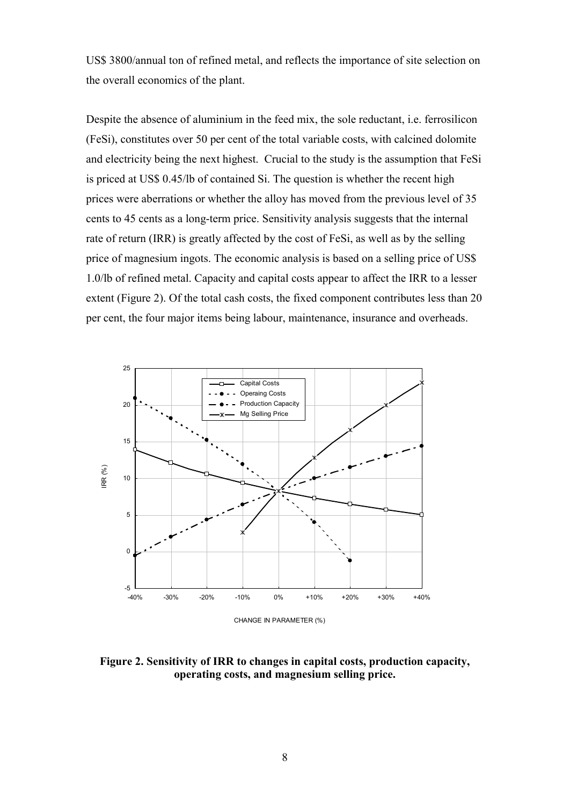US\$ 3800/annual ton of refined metal, and reflects the importance of site selection on the overall economics of the plant.

Despite the absence of aluminium in the feed mix, the sole reductant, i.e. ferrosilicon (FeSi), constitutes over 50 per cent of the total variable costs, with calcined dolomite and electricity being the next highest. Crucial to the study is the assumption that FeSi is priced at US\$ 0.45/lb of contained Si. The question is whether the recent high prices were aberrations or whether the alloy has moved from the previous level of 35 cents to 45 cents as a long-term price. Sensitivity analysis suggests that the internal rate of return (IRR) is greatly affected by the cost of FeSi, as well as by the selling price of magnesium ingots. The economic analysis is based on a selling price of US\$ 1.0/lb of refined metal. Capacity and capital costs appear to affect the IRR to a lesser extent (Figure 2). Of the total cash costs, the fixed component contributes less than 20 per cent, the four major items being labour, maintenance, insurance and overheads.



CHANGE IN PARAMETER (%)

**Figure 2. Sensitivity of IRR to changes in capital costs, production capacity, operating costs, and magnesium selling price.**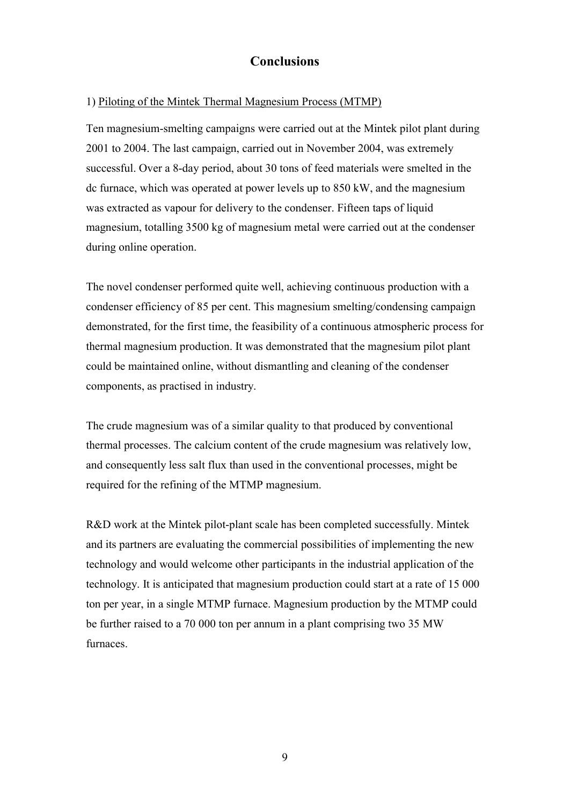# **Conclusions**

### 1) Piloting of the Mintek Thermal Magnesium Process (MTMP)

Ten magnesium-smelting campaigns were carried out at the Mintek pilot plant during 2001 to 2004. The last campaign, carried out in November 2004, was extremely successful. Over a 8-day period, about 30 tons of feed materials were smelted in the dc furnace, which was operated at power levels up to 850 kW, and the magnesium was extracted as vapour for delivery to the condenser. Fifteen taps of liquid magnesium, totalling 3500 kg of magnesium metal were carried out at the condenser during online operation.

The novel condenser performed quite well, achieving continuous production with a condenser efficiency of 85 per cent. This magnesium smelting/condensing campaign demonstrated, for the first time, the feasibility of a continuous atmospheric process for thermal magnesium production. It was demonstrated that the magnesium pilot plant could be maintained online, without dismantling and cleaning of the condenser components, as practised in industry.

The crude magnesium was of a similar quality to that produced by conventional thermal processes. The calcium content of the crude magnesium was relatively low, and consequently less salt flux than used in the conventional processes, might be required for the refining of the MTMP magnesium.

R&D work at the Mintek pilot-plant scale has been completed successfully. Mintek and its partners are evaluating the commercial possibilities of implementing the new technology and would welcome other participants in the industrial application of the technology. It is anticipated that magnesium production could start at a rate of 15 000 ton per year, in a single MTMP furnace. Magnesium production by the MTMP could be further raised to a 70 000 ton per annum in a plant comprising two 35 MW furnaces.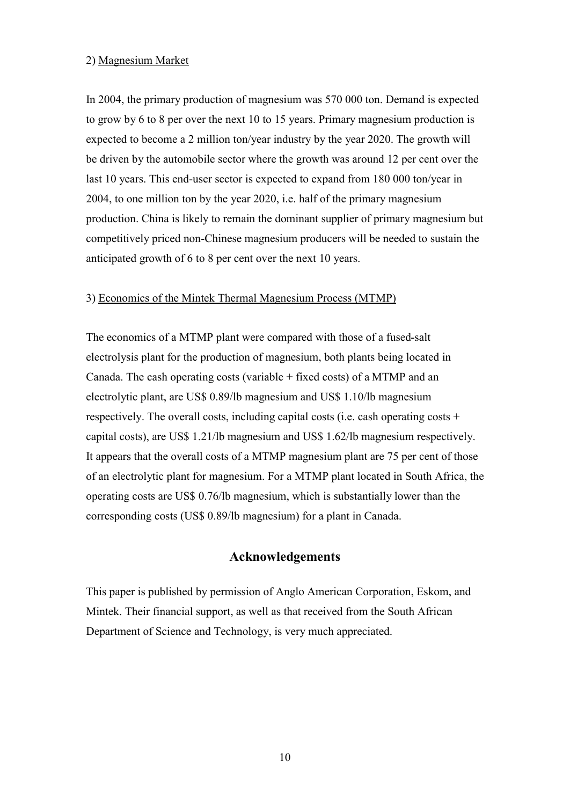#### 2) Magnesium Market

In 2004, the primary production of magnesium was 570 000 ton. Demand is expected to grow by 6 to 8 per over the next 10 to 15 years. Primary magnesium production is expected to become a 2 million ton/year industry by the year 2020. The growth will be driven by the automobile sector where the growth was around 12 per cent over the last 10 years. This end-user sector is expected to expand from 180 000 ton/year in 2004, to one million ton by the year 2020, i.e. half of the primary magnesium production. China is likely to remain the dominant supplier of primary magnesium but competitively priced non-Chinese magnesium producers will be needed to sustain the anticipated growth of 6 to 8 per cent over the next 10 years.

### 3) Economics of the Mintek Thermal Magnesium Process (MTMP)

The economics of a MTMP plant were compared with those of a fused-salt electrolysis plant for the production of magnesium, both plants being located in Canada. The cash operating costs (variable  $+$  fixed costs) of a MTMP and an electrolytic plant, are US\$ 0.89/lb magnesium and US\$ 1.10/lb magnesium respectively. The overall costs, including capital costs (i.e. cash operating costs + capital costs), are US\$ 1.21/lb magnesium and US\$ 1.62/lb magnesium respectively. It appears that the overall costs of a MTMP magnesium plant are 75 per cent of those of an electrolytic plant for magnesium. For a MTMP plant located in South Africa, the operating costs are US\$ 0.76/lb magnesium, which is substantially lower than the corresponding costs (US\$ 0.89/lb magnesium) for a plant in Canada.

## **Acknowledgements**

This paper is published by permission of Anglo American Corporation, Eskom, and Mintek. Their financial support, as well as that received from the South African Department of Science and Technology, is very much appreciated.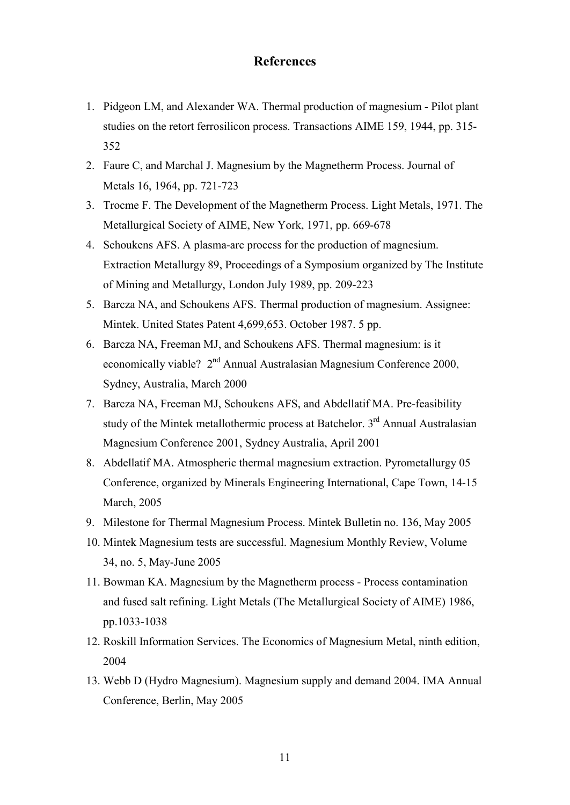## **References**

- 1. Pidgeon LM, and Alexander WA. Thermal production of magnesium Pilot plant studies on the retort ferrosilicon process. Transactions AIME 159, 1944, pp. 315- 352
- 2. Faure C, and Marchal J. Magnesium by the Magnetherm Process. Journal of Metals 16, 1964, pp. 721-723
- 3. Trocme F. The Development of the Magnetherm Process. Light Metals, 1971. The Metallurgical Society of AIME, New York, 1971, pp. 669-678
- 4. Schoukens AFS. A plasma-arc process for the production of magnesium. Extraction Metallurgy 89, Proceedings of a Symposium organized by The Institute of Mining and Metallurgy, London July 1989, pp. 209-223
- 5. Barcza NA, and Schoukens AFS. Thermal production of magnesium. Assignee: Mintek. United States Patent 4,699,653. October 1987. 5 pp.
- 6. Barcza NA, Freeman MJ, and Schoukens AFS. Thermal magnesium: is it economically viable? 2<sup>nd</sup> Annual Australasian Magnesium Conference 2000, Sydney, Australia, March 2000
- 7. Barcza NA, Freeman MJ, Schoukens AFS, and Abdellatif MA. Pre-feasibility study of the Mintek metallothermic process at Batchelor. 3<sup>rd</sup> Annual Australasian Magnesium Conference 2001, Sydney Australia, April 2001
- 8. Abdellatif MA. Atmospheric thermal magnesium extraction. Pyrometallurgy 05 Conference, organized by Minerals Engineering International, Cape Town, 14-15 March, 2005
- 9. Milestone for Thermal Magnesium Process. Mintek Bulletin no. 136, May 2005
- 10. Mintek Magnesium tests are successful. Magnesium Monthly Review, Volume 34, no. 5, May-June 2005
- 11. Bowman KA. Magnesium by the Magnetherm process Process contamination and fused salt refining. Light Metals (The Metallurgical Society of AIME) 1986, pp.1033-1038
- 12. Roskill Information Services. The Economics of Magnesium Metal, ninth edition, 2004
- 13. Webb D (Hydro Magnesium). Magnesium supply and demand 2004. IMA Annual Conference, Berlin, May 2005